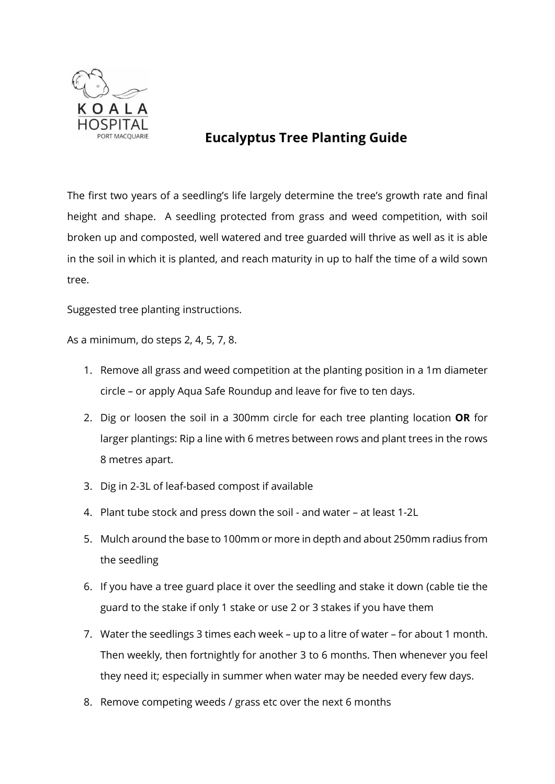

## **Eucalyptus Tree Planting Guide**

The first two years of a seedling's life largely determine the tree's growth rate and final height and shape. A seedling protected from grass and weed competition, with soil broken up and composted, well watered and tree guarded will thrive as well as it is able in the soil in which it is planted, and reach maturity in up to half the time of a wild sown tree.

Suggested tree planting instructions.

As a minimum, do steps 2, 4, 5, 7, 8.

- 1. Remove all grass and weed competition at the planting position in a 1m diameter circle – or apply Aqua Safe Roundup and leave for five to ten days.
- 2. Dig or loosen the soil in a 300mm circle for each tree planting location **OR** for larger plantings: Rip a line with 6 metres between rows and plant trees in the rows 8 metres apart.
- 3. Dig in 2-3L of leaf-based compost if available
- 4. Plant tube stock and press down the soil and water at least 1-2L
- 5. Mulch around the base to 100mm or more in depth and about 250mm radius from the seedling
- 6. If you have a tree guard place it over the seedling and stake it down (cable tie the guard to the stake if only 1 stake or use 2 or 3 stakes if you have them
- 7. Water the seedlings 3 times each week up to a litre of water for about 1 month. Then weekly, then fortnightly for another 3 to 6 months. Then whenever you feel they need it; especially in summer when water may be needed every few days.
- 8. Remove competing weeds / grass etc over the next 6 months